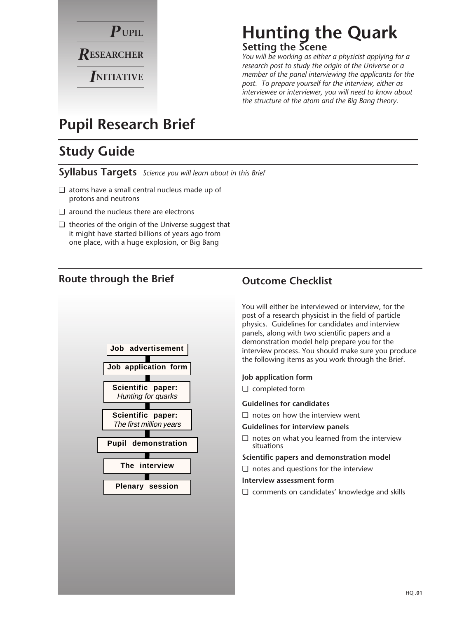

# **Hunting the Quark Setting the Scene**

*You will be working as either a physicist applying for a research post to study the origin of the Universe or a member of the panel interviewing the applicants for the post. To prepare yourself for the interview, either as interviewee or interviewer, you will need to know about the structure of the atom and the Big Bang theory.*

# **Pupil Research Brief**

# **Study Guide**

**Syllabus Targets** *Science you will learn about in this Brief*

- ❏ atoms have a small central nucleus made up of protons and neutrons
- ❏ around the nucleus there are electrons
- ❏ theories of the origin of the Universe suggest that it might have started billions of years ago from one place, with a huge explosion, or Big Bang

# **Route through the Brief Outcome Checklist**



You will either be interviewed or interview, for the post of a research physicist in the field of particle physics. Guidelines for candidates and interview panels, along with two scientific papers and a demonstration model help prepare you for the interview process. You should make sure you produce the following items as you work through the Brief.

## **Job application form**

❏ completed form

## **Guidelines for candidates**

❏ notes on how the interview went

**Guidelines for interview panels**

❏ notes on what you learned from the interview situations

**Scientific papers and demonstration model**

❏ notes and questions for the interview

#### **Interview assessment form**

❏ comments on candidates' knowledge and skills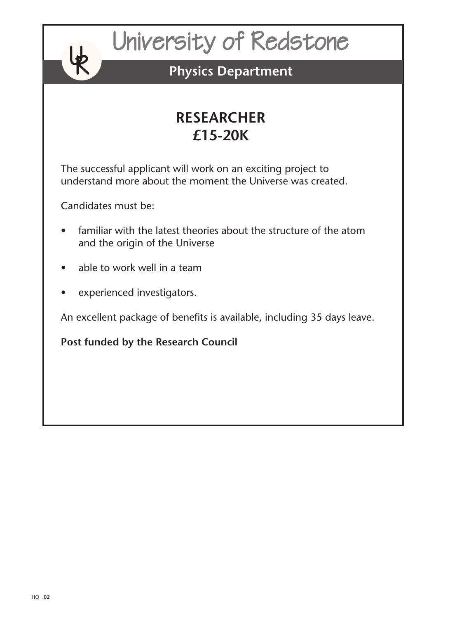# University of Redstone

# **Physics Department**

# **RESEARCHER £15-20K**

The successful applicant will work on an exciting project to understand more about the moment the Universe was created.

Candidates must be:

**Ly** R

- familiar with the latest theories about the structure of the atom and the origin of the Universe
- able to work well in a team
- experienced investigators.

An excellent package of benefits is available, including 35 days leave.

**Post funded by the Research Council**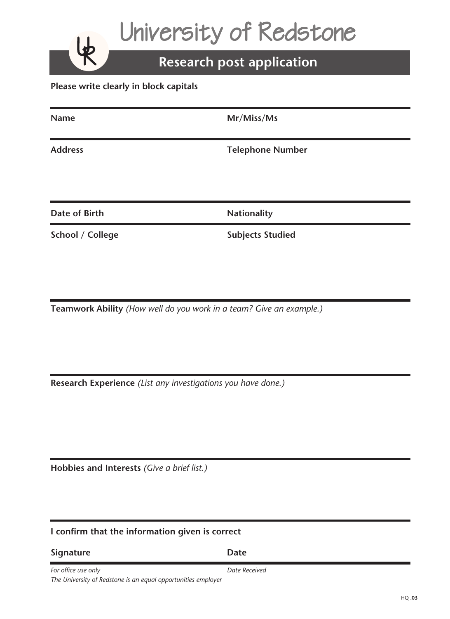University of Redstone

# **Research post application**

**Please write clearly in block capitals**

| <b>Name</b>          | Mr/Miss/Ms              |
|----------------------|-------------------------|
| <b>Address</b>       | <b>Telephone Number</b> |
| <b>Date of Birth</b> | <b>Nationality</b>      |

**School / College Subjects Studied** 

**Ly** R

**Teamwork Ability** *(How well do you work in a team? Give an example.)*

**Research Experience** *(List any investigations you have done.)*

**Hobbies and Interests** *(Give a brief list.)*

# **I confirm that the information given is correct**

| <b>Signature</b> | <b>Date</b> |
|------------------|-------------|
|                  |             |

**For office use only and the contract of the Contract Property Date Received** *The University of Redstone is an equal opportunities employer*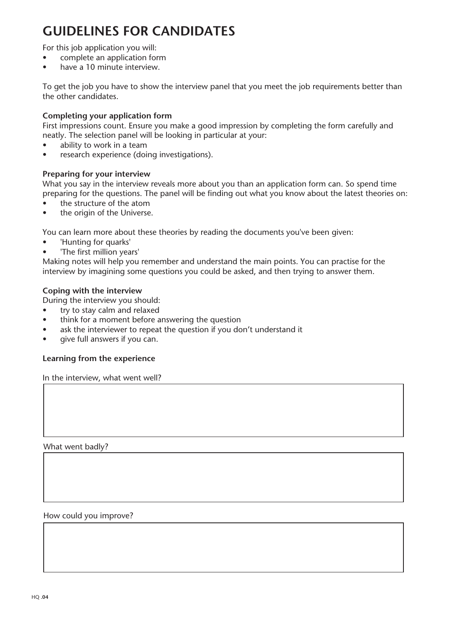# **GUIDELINES FOR CANDIDATES**

For this job application you will:

- complete an application form
- have a 10 minute interview.

To get the job you have to show the interview panel that you meet the job requirements better than the other candidates.

## **Completing your application form**

First impressions count. Ensure you make a good impression by completing the form carefully and neatly. The selection panel will be looking in particular at your:

- ability to work in a team
- research experience (doing investigations).

#### **Preparing for your interview**

What you say in the interview reveals more about you than an application form can. So spend time preparing for the questions. The panel will be finding out what you know about the latest theories on:

- the structure of the atom
- the origin of the Universe.

You can learn more about these theories by reading the documents you've been given:

- 'Hunting for quarks'
- 'The first million years'

Making notes will help you remember and understand the main points. You can practise for the interview by imagining some questions you could be asked, and then trying to answer them.

#### **Coping with the interview**

During the interview you should:

- try to stay calm and relaxed
- think for a moment before answering the question
- ask the interviewer to repeat the question if you don't understand it
- give full answers if you can.

#### **Learning from the experience**

In the interview, what went well?

What went badly?

#### How could you improve?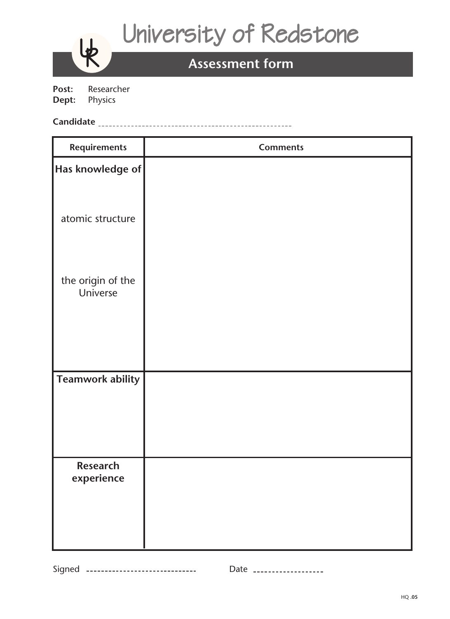# University of Redstone

# **Assessment form**

Post: Researcher<br>Dept: Physics **Physics** 

**Ly** R

# **Candidate**

| <b>Requirements</b>                                         | <b>Comments</b> |
|-------------------------------------------------------------|-----------------|
| $\left\vert \mathrm{Has} \right.$ knowledge of $\left\vert$ |                 |
| atomic structure                                            |                 |
|                                                             |                 |
| the origin of the<br>Universe                               |                 |
|                                                             |                 |
| <b>Teamwork ability</b>                                     |                 |
| Research<br>experience                                      |                 |

Signed --------------------------------- Date -------------------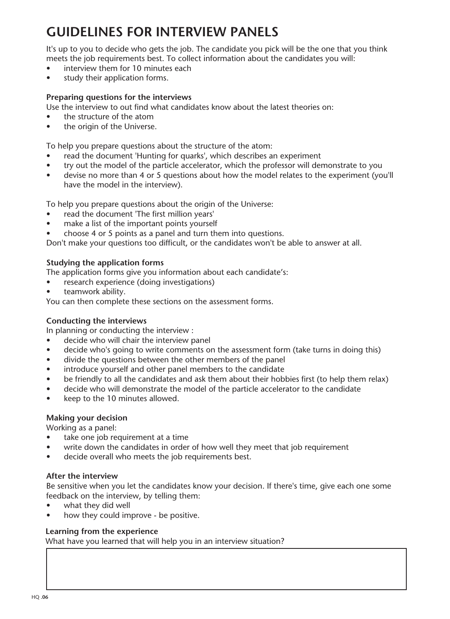# **GUIDELINES FOR INTERVIEW PANELS**

It's up to you to decide who gets the job. The candidate you pick will be the one that you think meets the job requirements best. To collect information about the candidates you will:

- interview them for 10 minutes each
- study their application forms.

## **Preparing questions for the interviews**

Use the interview to out find what candidates know about the latest theories on:

- the structure of the atom
- the origin of the Universe.

To help you prepare questions about the structure of the atom:

- read the document 'Hunting for quarks', which describes an experiment
- try out the model of the particle accelerator, which the professor will demonstrate to you
- devise no more than 4 or 5 questions about how the model relates to the experiment (you'll have the model in the interview).

To help you prepare questions about the origin of the Universe:

- read the document 'The first million years'
- make a list of the important points yourself
- choose 4 or 5 points as a panel and turn them into questions.

Don't make your questions too difficult, or the candidates won't be able to answer at all.

## **Studying the application forms**

The application forms give you information about each candidate's:

- research experience (doing investigations)
- teamwork ability.

You can then complete these sections on the assessment forms.

## **Conducting the interviews**

In planning or conducting the interview :

- decide who will chair the interview panel
- decide who's going to write comments on the assessment form (take turns in doing this)
- divide the questions between the other members of the panel
- introduce yourself and other panel members to the candidate
- be friendly to all the candidates and ask them about their hobbies first (to help them relax)
- decide who will demonstrate the model of the particle accelerator to the candidate
- keep to the 10 minutes allowed.

## **Making your decision**

Working as a panel:

- take one job requirement at a time
- write down the candidates in order of how well they meet that job requirement
- decide overall who meets the job requirements best.

#### **After the interview**

Be sensitive when you let the candidates know your decision. If there's time, give each one some feedback on the interview, by telling them:

- what they did well
- how they could improve be positive.

## **Learning from the experience**

What have you learned that will help you in an interview situation?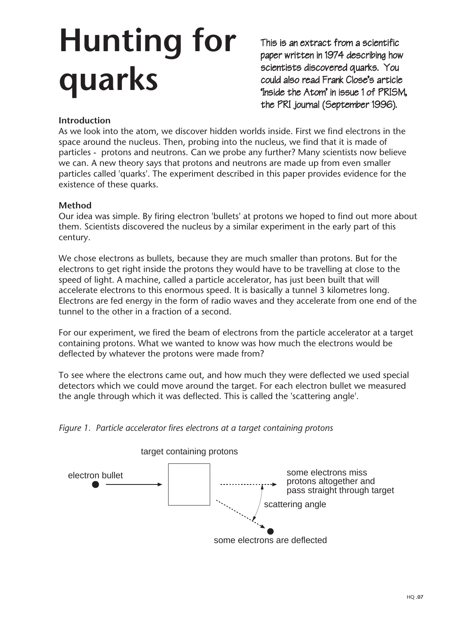# **Hunting for quarks**

This is an extract from a scientific paper written in 1974 describing how scientists discovered quarks. You could also read Frank Close's article 'Inside the Atom' in issue 1 of PRISM, the PRI journal (September 1996).

# **Introduction**

As we look into the atom, we discover hidden worlds inside. First we find electrons in the space around the nucleus. Then, probing into the nucleus, we find that it is made of particles - protons and neutrons. Can we probe any further? Many scientists now believe we can. A new theory says that protons and neutrons are made up from even smaller particles called 'quarks'. The experiment described in this paper provides evidence for the existence of these quarks.

# **Method**

Our idea was simple. By firing electron 'bullets' at protons we hoped to find out more about them. Scientists discovered the nucleus by a similar experiment in the early part of this century.

We chose electrons as bullets, because they are much smaller than protons. But for the electrons to get right inside the protons they would have to be travelling at close to the speed of light. A machine, called a particle accelerator, has just been built that will accelerate electrons to this enormous speed. It is basically a tunnel 3 kilometres long. Electrons are fed energy in the form of radio waves and they accelerate from one end of the tunnel to the other in a fraction of a second.

For our experiment, we fired the beam of electrons from the particle accelerator at a target containing protons. What we wanted to know was how much the electrons would be deflected by whatever the protons were made from?

To see where the electrons came out, and how much they were deflected we used special detectors which we could move around the target. For each electron bullet we measured the angle through which it was deflected. This is called the 'scattering angle'.

*Figure 1. Particle accelerator fires electrons at a target containing protons*

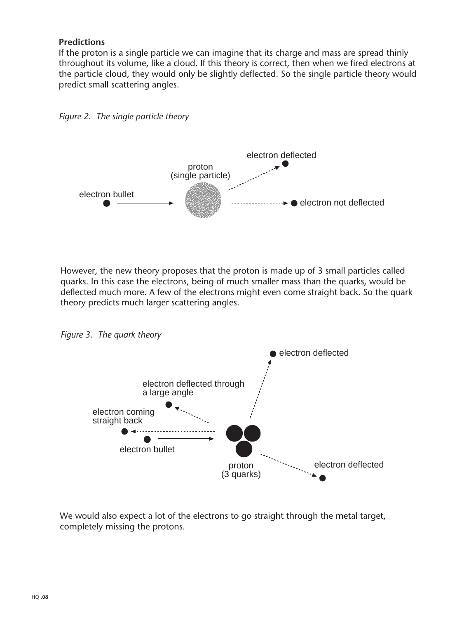## **Predictions**

If the proton is a single particle we can imagine that its charge and mass are spread thinly throughout its volume, like a cloud. If this theory is correct, then when we fired electrons at the particle cloud, they would only be slightly deflected. So the single particle theory would predict small scattering angles.



However, the new theory proposes that the proton is made up of 3 small particles called quarks. In this case the electrons, being of much smaller mass than the quarks, would be deflected much more. A few of the electrons might even come straight back. So the quark theory predicts much larger scattering angles.

*Figure 3. The quark theory*

*Figure 2. The single particle theory*



We would also expect a lot of the electrons to go straight through the metal target, completely missing the protons.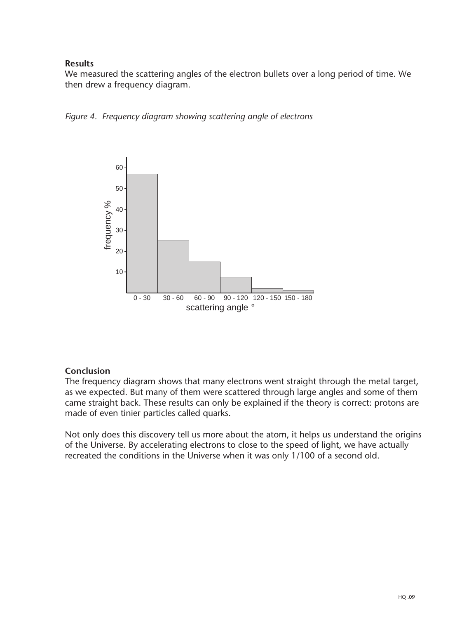# **Results**

We measured the scattering angles of the electron bullets over a long period of time. We then drew a frequency diagram.





## **Conclusion**

The frequency diagram shows that many electrons went straight through the metal target, as we expected. But many of them were scattered through large angles and some of them came straight back. These results can only be explained if the theory is correct: protons are made of even tinier particles called quarks.

Not only does this discovery tell us more about the atom, it helps us understand the origins of the Universe. By accelerating electrons to close to the speed of light, we have actually recreated the conditions in the Universe when it was only 1/100 of a second old.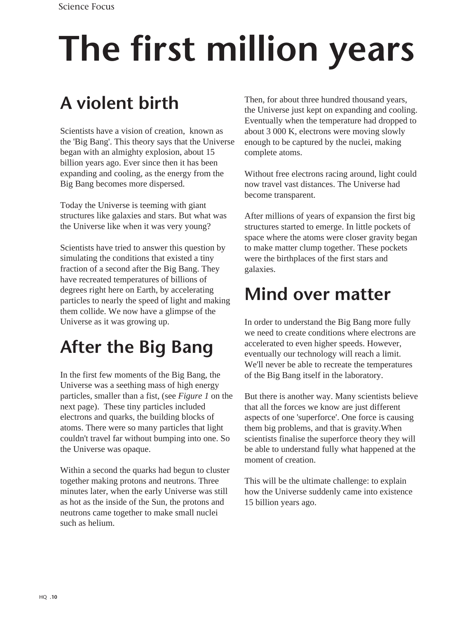# **The first million years**

# **A violent birth**

Scientists have a vision of creation, known as the 'Big Bang'. This theory says that the Universe began with an almighty explosion, about 15 billion years ago. Ever since then it has been expanding and cooling, as the energy from the Big Bang becomes more dispersed.

Today the Universe is teeming with giant structures like galaxies and stars. But what was the Universe like when it was very young?

Scientists have tried to answer this question by simulating the conditions that existed a tiny fraction of a second after the Big Bang. They have recreated temperatures of billions of degrees right here on Earth, by accelerating particles to nearly the speed of light and making them collide. We now have a glimpse of the Universe as it was growing up.

# **After the Big Bang**

In the first few moments of the Big Bang, the Universe was a seething mass of high energy particles, smaller than a fist, (see *Figure 1* on the next page). These tiny particles included electrons and quarks, the building blocks of atoms. There were so many particles that light couldn't travel far without bumping into one. So the Universe was opaque.

Within a second the quarks had begun to cluster together making protons and neutrons. Three minutes later, when the early Universe was still as hot as the inside of the Sun, the protons and neutrons came together to make small nuclei such as helium.

Then, for about three hundred thousand years, the Universe just kept on expanding and cooling. Eventually when the temperature had dropped to about 3 000 K, electrons were moving slowly enough to be captured by the nuclei, making complete atoms.

Without free electrons racing around, light could now travel vast distances. The Universe had become transparent.

After millions of years of expansion the first big structures started to emerge. In little pockets of space where the atoms were closer gravity began to make matter clump together. These pockets were the birthplaces of the first stars and galaxies.

# **Mind over matter**

In order to understand the Big Bang more fully we need to create conditions where electrons are accelerated to even higher speeds. However, eventually our technology will reach a limit. We'll never be able to recreate the temperatures of the Big Bang itself in the laboratory.

But there is another way. Many scientists believe that all the forces we know are just different aspects of one 'superforce'. One force is causing them big problems, and that is gravity.When scientists finalise the superforce theory they will be able to understand fully what happened at the moment of creation.

This will be the ultimate challenge: to explain how the Universe suddenly came into existence 15 billion years ago.